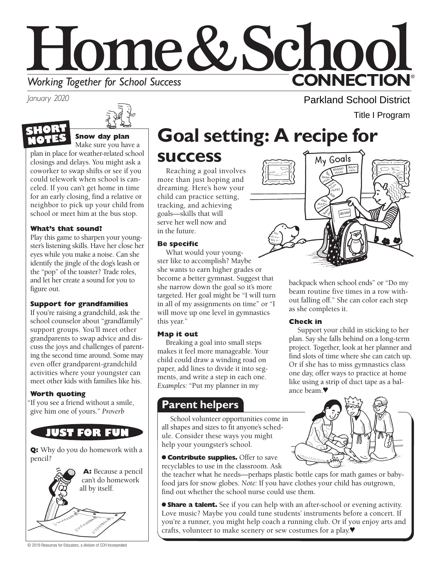

*January 2020* 



**SHORT NOTE Snow day plan** Make sure you have a plan in place for weather-related school closings and delays. You might ask a

coworker to swap shifts or see if you could telework when school is canceled. If you can't get home in time for an early closing, find a relative or neighbor to pick up your child from school or meet him at the bus stop.

### **What's that sound?**

Play this game to sharpen your youngster's listening skills. Have her close her eyes while you make a noise. Can she identify the jingle of the dog's leash or the "pop" of the toaster? Trade roles, and let her create a sound for you to figure out.

### **Support for grandfamilies**

If you're raising a grandchild, ask the school counselor about "grandfamily" support groups. You'll meet other grandparents to swap advice and discuss the joys and challenges of parenting the second time around. Some may even offer grandparent-grandchild activities where your youngster can meet other kids with families like his.

### **Worth quoting**

"If you see a friend without a smile, give him one of yours." *Proverb* 



**Q:** Why do you do homework with a pencil?



#### © 2019 Resources for Educators, a division of CCH Incorporated

# **Goal setting: A recipe for**

**success** 

Reaching a goal involves more than just hoping and dreaming. Here's how your child can practice setting, tracking, and achieving goals—skills that will serve her well now and in the future.

### **Be specific**

What would your youngster like to accomplish? Maybe she wants to earn higher grades or become a better gymnast. Suggest that she narrow down the goal so it's more targeted. Her goal might be "I will turn in all of my assignments on time" or "I will move up one level in gymnastics this year."

### **Map it out**

Breaking a goal into small steps makes it feel more manageable. Your child could draw a winding road on paper, add lines to divide it into segments, and write a step in each one. *Examples:* "Put my planner in my

### **Parent helpers**

School volunteer opportunities come in all shapes and sizes to fit anyone's schedule. Consider these ways you might help your youngster's school.

**Contribute supplies.** Offer to save recyclables to use in the classroom. Ask

the teacher what he needs—perhaps plastic bottle caps for math games or babyfood jars for snow globes. *Note:* If you have clothes your child has outgrown, find out whether the school nurse could use them.

● **Share a talent.** See if you can help with an after-school or evening activity. Love music? Maybe you could tune students' instruments before a concert. If you're a runner, you might help coach a running club. Or if you enjoy arts and crafts, volunteer to make scenery or sew costumes for a play.♥

Parkland School District Title I Program

My Goals



WWW

### **Check in**

Support your child in sticking to her plan. Say she falls behind on a long-term project. Together, look at her planner and find slots of time where she can catch up. Or if she has to miss gymnastics class one day, offer ways to practice at home like using a strip of duct tape as a balance beam.♥